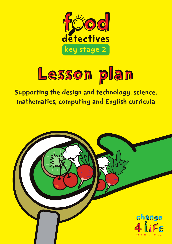

# Lesson plan

Supporting the design and technology, science, mathematics, computing and English curricula

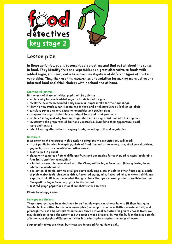

# Lesson plan

In these activities, pupils become food detectives and find out all about the sugar in food. They identify fruit and vegetables as a great alternative to foods with added sugar, and carry out a hands-on investigation of different types of fruit and vegetables. They then use this research as a foundation for making more active and informed food and drink choices within school and at home.

# Learning objectives

By the end of these activities, pupils will be able to:

- explain why too much added sugar in foods is bad for you
- recall the new recommended daily maximum sugar intake for their age range
- identify how much sugar is contained in food and drink products by looking at labels
- calculate sugar amounts based on quantities and serving sizes
- compare the sugar content in a variety of food and drink products
- explain 5 a Day and why fruit and vegetables are an important part of a healthy diet
- investigate the properties of fruit and vegetables, describing their appearance, smell, taste and texture
- select healthy alternatives to sugary foods, including fruit and vegetables

# Resources

In addition to the resources in this pack, to complete the activities you will need:

- to ask pupils to bring in empty packets of food they eat at home (e.g. breakfast cereals, drinks, yoghurts, biscuits, chocolate and other snacks)
- sugar cubes (4g each)
- plates with samples of eight different fruits and vegetables for each pupil to taste (preferably four fruits and four vegetables)
- a tablet or smartphone enabled with the Change4Life Sugar Smart app (ideally linking to an interactive whiteboard)
- a selection of single-serving drink products, including a can of cola or other fizzy pop, a bottle of plain water, fruit juice, juice drink, flavoured water, milk, flavoured milk, an energy drink and a sports drink. (It is recommended that you check that your chosen products are listed on the Change4Life Sugar Smart app prior to the lesson)
- squared graph paper for optional bar chart extension work

Please be allergy aware.

# Delivery and timings

These resources have been designed to be flexible – you can choose how to fit them into your timetable. In addition to the main lesson plan (made up of starter activities, a main activity and plenary), there is a homework resource and three optional activities for you to choose from. You may decide to spread the activities out across a week or more, deliver the bulk of them in a single afternoon, or develop different activities into mini-topics covering a number of lessons.

Suggested timings are given, but these are intended for guidance only.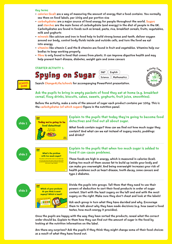Key terms

- calories (kcal) are a way of measuring the amount of energy that a food contains. You normally see them on food labels, per 100g and per portion size
- carbohydrates are a major source of food energy for people throughout the world. Sugars and starches are the main forms of carbohydrate (and energy) in the diet of people in the UK. Carbohydrates are found in foods such as bread, pasta, rice, breakfast cereals, fruits, vegetables, milk and yoghurts
- minerals like calcium and iron in food help to build strong bones and teeth, deliver oxygen around our body, control body fluids inside and outside cells, and turn the food we eat into energy
- vitamins like vitamin C and the B vitamins are found in fruit and vegetables. Vitamins help our bodies to keep working properly
- fibre is only found in food that comes from plants. It can improve digestive health and may help prevent heart disease, diabetes, weight gain and some cancers

STARTER ACTIVITY 1:



 $S$ pying on Sugar  $\frac{\text{DRT} \left(\text{English}\right)}{\text{Science} \left(\text{Mathematics}\right)}$ 

 $D&T$   $|$  English



Search Change4Life/schools for accompanying PowerPoint presentation.

Ask the pupils to bring in empty packets of food they eat at home (e.g. breakfast cereal, fizzy drinks, biscuits, cakes, sweets, yoghurts, fruit juice, smoothies).

Before the activity, make a note of the amount of sugar each product contains per 100g. This is the carbohydrates (of which sugars) figure in the nutrition panel.





# Explain to the pupils that today they're going to become food detectives and find out all about sugar.

What foods contain sugar? How can we find out how much sugar they contain? And what can we eat instead of sugary snacks, puddings and drinks?





up inside the body and can lead to heart disease, tooth decay, some cancers or type 2 diabetes

2

# Explain to the pupils that when too much sugar is added to food it can cause problems.

These foods are high in energy, which is measured in calories (kcal). Eating too much of them causes fat to build up inside your body and can make you overweight. And being overweight increases your risk of health problems such as heart disease, tooth decay, some cancers and type 2 diabetes.





Divide the pupils into groups. Tell them that they need to use their powers of deduction to sort their food products in order of sugar content. Start with the least sugary on the left and end with the most sugary on the right. Make sure they don't cheat and look at the labels!

Ask each group in turn what they have decided and why. Encourage them to talk about why they have made decisions (e.g. how sweet a food tastes, how much energy it provides).

Once the pupils are happy with the way they have sorted the products, reveal what the correct order should be. Explain to them how they can find out the amount of sugar in the food by looking at the nutrition information on the label.

Are there any surprises? Ask the pupils if they think they might change some of their food choices as a result of what they have found out.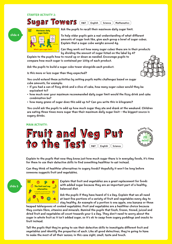# STARTER ACTIVITY 2:

Sugar Towers





Ask the pupils to recall their maximum daily sugar limit.

To help older pupils gain a real understanding of what different amounts of sugar look like, give each group a bowl of sugar cubes. Explain that a sugar cube weighs around 4g.

Can they work out how many sugar cubes there are in their products by dividing the amount of sugar listed on the label by 4?

Explain to the pupils how to round up or down as needed. Encourage pupils to compare how much sugar is contained per 100g of each product.

Ask the pupils to build a sugar cube tower alongside each product.

Is this more or less sugar than they expected?

You could extend these activities by setting pupils maths challenges based on sugar cube amounts, for example:

- if you had a can of fizzy drink and a slice of cake, how many sugar cubes would they be equivalent to?
- how much over your maximum recommended daily sugar limit would the fizzy drink and cake combination be?
- how many grams of sugar does this add up to? Can you write this in kilograms?

You could ask the pupils to add up how much sugar they ate and drank at the weekend. Children are eating three times more sugar than their maximum daily sugar limit – the biggest source is sugary drinks.

#### MAIN ACTIVITY:



Explain to the pupils that now they know just how much sugar there is in everyday foods, it's time for them to use their detective skills to find something healthier to eat instead.

Can they think of healthier alternatives to sugary foods? Hopefully it won't be long before someone suggests fruit and vegetables.



slide 5

Explain that fruit and vegetables are a great replacement for foods with added sugar because they are an important part of a healthy, balanced diet.

Ask the pupils if they have heard of 5 a Day. Explain that we all need at least five portions of a variety of fruit and vegetables every day to stay healthy. An example of a portion is one apple, one banana or three

heaped tablespoons of cooked vegetables. Fruit and vegetables are a healthier choice because they contain fibre, vitamins and minerals. Remind the pupils that fresh, frozen, tinned, juiced and dried fruit and vegetables all count towards your 5 a Day. They don't need to worry about the sugar in whole fruit as it isn't added sugar, so it's ok to swap from sugary puddings and snacks to fruit instead.

Tell the pupils that they're going to use their detective skills to investigate different fruit and vegetables and identify the properties of each. Like all good detectives, they're going to have to make the most of all their senses; in this case sight, smell, taste and touch.



20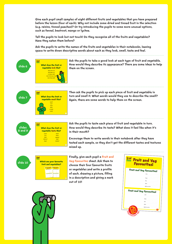Give each pupil small samples of eight different fruits and vegetables that you have prepared before the lesson (four of each). Why not include some dried and tinned fruit in the selection (e.g. raisins, tinned peaches)? Or try introducing the pupils to some more unusual options, such as fennel, beetroot, mango or lychee.

Tell the pupils to look but not touch! Do they recognise all of the fruits and vegetables? Have they eaten them before?

Ask the pupils to write the names of the fruits and vegetables in their notebooks, leaving space to write down descriptive words about each as they look, smell, taste and feel.



 $000$ 

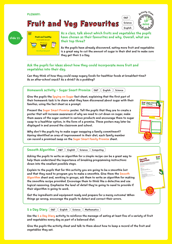## PLENARY:





Science

English



As a class, talk about which fruits and vegetables the pupils have chosen as their favourites and why. Overall, what are their top three?

As the pupils have already discovered, eating more fruit and vegetables is a great way to cut the amount of sugar in their diet and to make sure they get their 5 a Day.

# Ask the pupils for ideas about how they could incorporate more fruit and vegetables into their day.

Can they think of how they could swap sugary foods for healthier foods at breakfast-time? As an after-school snack? As a drink? As a pudding?



Why don't the pupils try to make sugar swapping a family commitment? Having identified an area of improvement in their diet, each family member can record a promised swap on the Sugar Smart Family Promise sheet.



Asking the pupils to write an algorithm for a simple recipe can be a great way to help them understand the importance of breaking programming instructions down into the smallest possible steps.

Explain to the pupils that for this activity you are going to be a smoothie bot and that they need to program you to make a smoothie. Give them the Smooth Algorithm sheet and, working in groups, ask them to write an algorithm for making the smoothie recipe provided. Encourage them to think like a detective and use logical reasoning. Emphasise the level of detail they're going to need to provide if their algorithm is going to work.

Get the ingredients and equipment ready and prepare for a messy outcome! When things go wrong, encourage the pupils to detect and correct their errors.



Use the 5 a Day Diary activity to reinforce the message of eating at least five of a variety of fruit and vegetables every day as part of a balanced diet.

Give the pupils the activity sheet and talk to them about how to keep a record of the fruit and vegetables they eat.





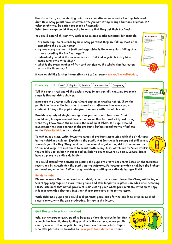Use this activity as the starting point for a class discussion about a healthy, balanced diet. How many pupils have discovered they're not eating enough fruit and vegetables? What might they be eating too much of instead?

What food swaps could they make to ensure that they get their 5 a Day?

You could extend this activity with some related maths activities, for example:

- ask each pupil to calculate by how many portions they are falling short of or exceeding the 5 a Day target
- by how many portions of fruit and vegetables is the whole class falling short of or exceeding the 5 a Day target?
- individually, what is the mean number of fruit and vegetables they have eaten across the three days?
- what is the mean number of fruit and vegetables the whole class has eaten across the three days?

Keep a record of the fruit and vegetables you eat over the next three days. Don't forget to include fruit and vegetables hidden in other foods, for example onion, tomato and carrot in spaghetti bolognese. Day: Draw and label pictures of the fruit and vegetables you have eaten. Draw and label pictures of the fruit and vegetables you have eaten. Total: Day 3 Draw and label pictures of the fruit and vegetables you have eaten. 5 a Day Diary © Crown Copyright 2016

Drink Rethink<br>Drink Rethink

(single serving containers) Sugar content in grams per single serving Equivalent sugar cube content Name of product

Can of cola or fizzy pop

Juice drink

If you would like further information on 5 a Day, search nhs.uk/livewell/5aday.

English  $\big)$  Science  $\big)$  Mathematics  $\big)$  Computing Drink Rethink (D&T)

Tell the pupils that one of the easiest ways to accidentally consume too much sugar is through drink choices.

Introduce the Change4Life Sugar Smart app on an enabled tablet. Show the pupils how to scan the barcode of a product to discover how much sugar it contains. Arrange the pupils into groups or work with the whole class.

Provide a variety of single-serving drink products with barcodes. Drinks should vary in sugar content (see resources section for product types). Using what they know about the app, and the reading of labels, the pupils should investigate the sugar content of the products, before recording their findings on the Drink Rethink activity sheet.

Together, as a class, write down the names of products associated with the drink types in the right-hand column. Explain to the pupils that fruit juice is sugary but still counts towards your 5 a Day. They must limit the amount of juice they drink to no more than 150ml and keep it to mealtimes to avoid tooth decay. Also, watch out for 'juice drinks', they're likely to be high in sugar and unlikely to count towards 5 a Day. Sugary drinks have no place in a child's daily diet.

You could extend this activity by getting the pupils to create bar charts based on the tabulated results and by questioning the pupils on the outcomes. For example: which drink had the highest or lowest sugar content? Would any provide you with your entire daily sugar limit?

#### Points to note:

Please be aware that when used on a tablet, rather than a smartphone, the Change4Life Sugar Smart app may require a more steady hand and take longer to register barcodes when scanning. Please also note that not all products (particularly plain water products) are listed on the app. It is recommended that you test your chosen products prior to the lesson.

With older KS2 pupils, you could seek parental permission for the pupils to bring in labelled smartphones, with the app pre-loaded, for use in this lesson.

# Get the whole school involved

Why not encourage every pupil to become a food detective by holding a lunchtime investigators tasting session in the canteen, where pupils can try a new fruit or vegetable they have never eaten before. Pupils who take part can be awarded an I'm a great food detective sticker.